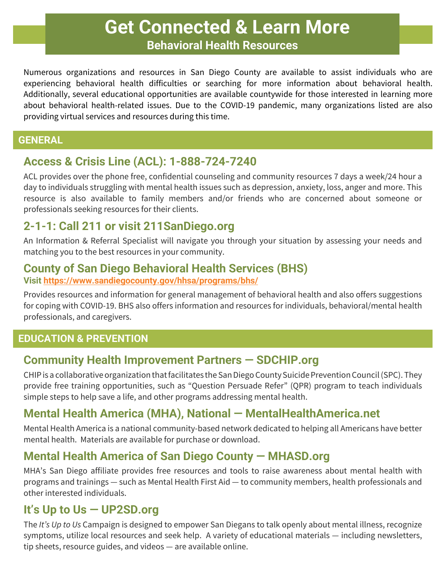# **Get Connected & Learn More Behavioral Health Resources**

Numerous organizations and resources in San Diego County are available to assist individuals who are experiencing behavioral health difficulties or searching for more information about behavioral health. Additionally, several educational opportunities are available countywide for those interested in learning more about behavioral health-related issues. Due to the COVID-19 pandemic, many organizations listed are also providing virtual services and resources during this time.

#### **GENERAL**

# **Access & Crisis Line (ACL): [1-888-724-7240](tel:18887247240)**

ACL provides over the phone free, confidential counseling and community resources 7 days a week/24 hour a day to individuals struggling with mental health issues such as depression, anxiety, loss, anger and more. This resource is also available to family members and/or friends who are concerned about someone or professionals seeking resources for their clients.

### **2-1-1: Call [211](tel:211) or visit [211SanDiego.org](http://www.211sandiego.org/)**

An Information & Referral Specialist will navigate you through your situation by assessing your needs and matching you to the best resources in your community.

# **County of San Diego Behavioral Health Services (BHS)**

#### **Visit<https://www.sandiegocounty.gov/hhsa/programs/bhs/>**

Provides resources and information for general management of behavioral health and also offers suggestions for coping with COVID-19. BHS also offers information and resources for individuals, behavioral/mental health professionals, and caregivers.

#### **EDUCATION & PREVENTION**

### **Community Health Improvement Partners — [SDCHIP.org](http://www.sdchip.org/)**

CHIP is a collaborative organization that facilitates the San Diego County Suicide Prevention Council (SPC). They provide free training opportunities, such as "Question Persuade Refer" (QPR) program to teach individuals simple steps to help save a life, and other programs addressing mental health.

# **Mental Health America (MHA), National — [MentalHealthAmerica.net](http://www.mentalhealthamerica.net/)**

Mental Health America is a national community-based network dedicated to helping all Americans have better mental health. Materials are available for purchase or download.

# **Mental Health America of San Diego County — [MHASD.org](http://www.mhasd.org/)**

MHA's San Diego affiliate provides free resources and tools to raise awareness about mental health with programs and trainings — such as Mental Health First Aid — to community members, health professionals and other interested individuals.

### **It's Up to Us — [UP2SD.org](http://www.up2sd.org/)**

The *It's Up to Us* Campaign is designed to empower San Diegans to talk openly about mental illness, recognize symptoms, utilize local resources and seek help. A variety of educational materials — including newsletters, tip sheets, resource guides, and videos — are available online.